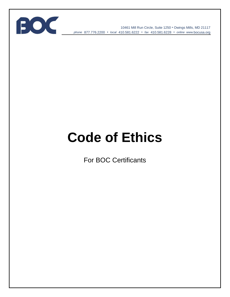

10461 Mill Run Circle, Suite 1250 • Owings Mills, MD 21117 *phone* 877.776.2200 • *local* 410.581.6222 • *fax* 410.581.6228 • *online* www*.*bocusa.org

# **Code of Ethics**

For BOC Certificants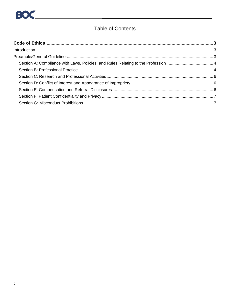### **Table of Contents**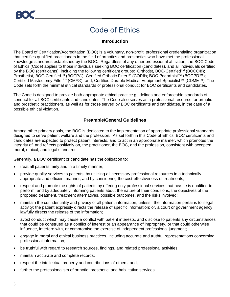## Code of Ethics

#### **Introduction**

<span id="page-2-1"></span><span id="page-2-0"></span>The Board of Certification/Accreditation (BOC) is a voluntary, non-profit, professional credentialing organization that certifies qualified practitioners in the field of orthotics and prosthetics who have met the professional knowledge standards established by the BOC. Regardless of any other professional affiliation, the BOC Code of Ethics (Code) applies to those individuals seeking BOC certification (candidates), and all individuals certified by the BOC (certificants), including the following certificant groups: Orthotist, BOC-Certified™ (BOCO®); Prosthetist, BOC-Certified™ (BOCP®); Certified Orthotic Fitter™ (COF®); BOC Pedorthist™ (BOCPD™); Certified Mastectomy Fitter<sup>™</sup> (CMF®); and, Certified Durable Medical Equipment Specialist™ (CDME™). The Code sets forth the minimal ethical standards of professional conduct for BOC certificants and candidates.

The Code is designed to provide both appropriate ethical practice guidelines and enforceable standards of conduct for all BOC certificants and candidates. The Code also serves as a professional resource for orthotic and prosthetic practitioners, as well as for those served by BOC certificants and candidates, in the case of a possible ethical violation.

#### **Preamble/General Guidelines**

<span id="page-2-2"></span>Among other primary goals, the BOC is dedicated to the implementation of appropriate professional standards designed to serve patient welfare and the profession. As set forth in this Code of Ethics, BOC certificants and candidates are expected to protect patient interests, and to act in an appropriate manner, which promotes the integrity of, and reflects positively on, the practitioner, the BOC, and the profession, consistent with accepted moral, ethical, and legal standards.

Generally, a BOC certificant or candidate has the obligation to:

- treat all patients fairly and in a timely manner;
- provide quality services to patients, by utilizing all necessary professional resources in a technically appropriate and efficient manner, and by considering the cost-effectiveness of treatments;
- respect and promote the rights of patients by offering only professional services that he/she is qualified to perform, and by adequately informing patients about the nature of their conditions, the objectives of the proposed treatment, treatment alternatives, possible outcomes, and the risks involved;
- maintain the confidentiality and privacy of all patient information, unless: the information pertains to illegal activity; the patient expressly directs the release of specific information; or, a court or government agency lawfully directs the release of the information;
- avoid conduct which may cause a conflict with patient interests, and disclose to patients any circumstances that could be construed as a conflict of interest or an appearance of impropriety, or that could otherwise influence, interfere with, or compromise the exercise of independent professional judgment;
- engage in moral and ethical business practices, including accurate and truthful representations concerning professional information;
- be truthful with regard to research sources, findings, and related professional activities;
- maintain accurate and complete records;
- respect the intellectual property and contributions of others; and,
- further the professionalism of orthotic, prosthetic, and habilitative services.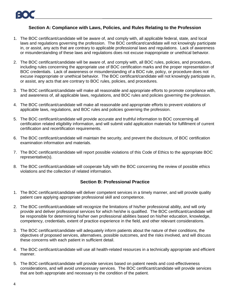#### **Section A: Compliance with Laws, Policies, and Rules Relating to the Profession**

- <span id="page-3-0"></span>1. The BOC certificant/candidate will be aware of, and comply with, all applicable federal, state, and local laws and regulations governing the profession. The BOC certificant/candidate will not knowingly participate in, or assist, any acts that are contrary to applicable professional laws and regulations. Lack of awareness or misunderstanding of these laws and regulations does not excuse inappropriate or unethical behavior.
- 2. The BOC certificant/candidate will be aware of, and comply with, all BOC rules, policies, and procedures, including rules concerning the appropriate use of BOC certification marks and the proper representation of BOC credentials. Lack of awareness or misunderstanding of a BOC rule, policy, or procedure does not excuse inappropriate or unethical behavior. The BOC certificant/candidate will not knowingly participate in, or assist, any acts that are contrary to BOC rules, policies, and procedures.
- 3. The BOC certificant/candidate will make all reasonable and appropriate efforts to promote compliance with, and awareness of, all applicable laws, regulations, and BOC rules and policies governing the profession.
- 4. The BOC certificant/candidate will make all reasonable and appropriate efforts to prevent violations of applicable laws, regulations, and BOC rules and policies governing the profession.
- 5. The BOC certificant/candidate will provide accurate and truthful information to BOC concerning all certification related eligibility information, and will submit valid application materials for fulfillment of current certification and recertification requirements.
- 6. The BOC certificant/candidate will maintain the security, and prevent the disclosure, of BOC certification examination information and materials.
- 7. The BOC certificant/candidate will report possible violations of this Code of Ethics to the appropriate BOC representative(s).
- 8. The BOC certificant/candidate will cooperate fully with the BOC concerning the review of possible ethics violations and the collection of related information.

#### **Section B: Professional Practice**

- <span id="page-3-1"></span>1. The BOC certificant/candidate will deliver competent services in a timely manner, and will provide quality patient care applying appropriate professional skill and competence.
- 2. The BOC certificant/candidate will recognize the limitations of his/her professional ability, and will only provide and deliver professional services for which he/she is qualified. The BOC certificant/candidate will be responsible for determining his/her own professional abilities based on his/her education, knowledge, competency, credentials, extent of practice experience in the field, and other relevant considerations.
- 3. The BOC certificant/candidate will adequately inform patients about the nature of their conditions, the objectives of proposed services, alternatives, possible outcomes, and the risks involved, and will discuss these concerns with each patient in sufficient detail.
- 4. The BOC certificant/candidate will use all health-related resources in a technically appropriate and efficient manner.
- 5. The BOC certificant/candidate will provide services based on patient needs and cost-effectiveness considerations, and will avoid unnecessary services. The BOC certificant/candidate will provide services that are both appropriate and necessary to the condition of the patient.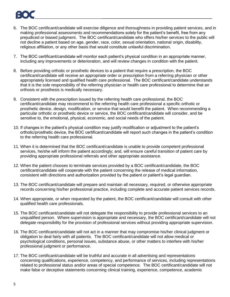

- 6. The BOC certificant/candidate will exercise diligence and thoroughness in providing patient services, and in making professional assessments and recommendations solely for the patient's benefit, free from any prejudiced or biased judgment. The BOC certificant/candidate who offers his/her services to the public will not decline a patient based on age, gender, race, color, sexual orientation, national origin, disability, religious affiliation, or any other basis that would constitute unlawful discrimination.
- 7. The BOC certificant/candidate will monitor each patient's physical condition in an appropriate manner, including any improvements or deterioration, and will review changes in condition with the patient.
- 8. Before providing orthotic or prosthetic devices to a patient that require a prescription, the BOC certificant/candidate will receive an appropriate order or prescription from a referring physician or other appropriately licensed and qualified health care professional. The BOC certificant/candidate understands that it is the sole responsibility of the referring physician or health care professional to determine that an orthosis or prosthesis is medically necessary.
- 9. Consistent with the prescription issued by the referring health care professional, the BOC certificant/candidate may recommend to the referring health care professional a specific orthotic or prosthetic device, design, modification, or service that would benefit the patient. When recommending a particular orthotic or prosthetic device or service, the BOC certificant/candidate will consider, and be sensitive to, the emotional, physical, economic, and social needs of the patient.
- 10. If changes in the patient's physical condition may justify modification or adjustment to the patient's orthotic/prosthetic device, the BOC certificant/candidate will report such changes in the patient's condition to the referring health care professional.
- 11. When it is determined that the BOC certificant/candidate is unable to provide competent professional services, he/she will inform the patient accordingly; and, will ensure careful transition of patient care by providing appropriate professional referrals and other appropriate assistance.
- 12. When the patient chooses to terminate services provided by a BOC certificant/candidate, the BOC certificant/candidate will cooperate with the patient concerning the release of medical information, consistent with directions and authorization provided by the patient or patient's legal guardian.
- 13. The BOC certificant/candidate will prepare and maintain all necessary, required, or otherwise appropriate records concerning his/her professional practice, including complete and accurate patient services records.
- 14. When appropriate, or when requested by the patient, the BOC certificant/candidate will consult with other qualified health care professionals.
- 15. The BOC certificant/candidate will not delegate the responsibility to provide professional services to an unqualified person. Where supervision is appropriate and necessary, the BOC certificant/candidate will not delegate responsibility for the provision of professional services without providing appropriate supervision.
- 16. The BOC certificant/candidate will not act in a manner that may compromise his/her clinical judgment or obligation to deal fairly with all patients. The BOC certificant/candidate will not allow medical or psychological conditions, personal issues, substance abuse, or other matters to interfere with his/her professional judgment or performance.
- 17. The BOC certificant/candidate will be truthful and accurate in all advertising and representations concerning qualifications, experience, competency, and performance of services, including representations related to professional status and/or areas of special competence. The BOC certificant/candidate will not make false or deceptive statements concerning clinical training, experience, competence, academic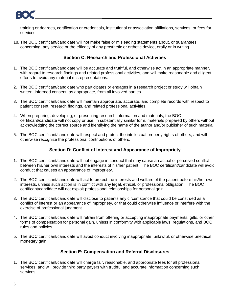

training or degrees, certification or credentials, institutional or association affiliations, services, or fees for services.

18. The BOC certificant/candidate will not make false or misleading statements about, or guarantees concerning, any service or the efficacy of any prosthetic or orthotic device, orally or in writing.

#### **Section C: Research and Professional Activities**

- <span id="page-5-0"></span>1. The BOC certificant/candidate will be accurate and truthful, and otherwise act in an appropriate manner, with regard to research findings and related professional activities, and will make reasonable and diligent efforts to avoid any material misrepresentations.
- 2. The BOC certificant/candidate who participates or engages in a research project or study will obtain written, informed consent, as appropriate, from all involved parties.
- 3. The BOC certificant/candidate will maintain appropriate, accurate, and complete records with respect to patient consent, research findings, and related professional activities.
- 4. When preparing, developing, or presenting research information and materials, the BOC certificant/candidate will not copy or use, in substantially similar form, materials prepared by others without acknowledging the correct source and identifying the name of the author and/or publisher of such material.
- 5. The BOC certificant/candidate will respect and protect the intellectual property rights of others, and will otherwise recognize the professional contributions of others.

#### **Section D: Conflict of Interest and Appearance of Impropriety**

- <span id="page-5-1"></span>1. The BOC certificant/candidate will not engage in conduct that may cause an actual or perceived conflict between his/her own interests and the interests of his/her patient. The BOC certificant/candidate will avoid conduct that causes an appearance of impropriety.
- 2. The BOC certificant/candidate will act to protect the interests and welfare of the patient before his/her own interests, unless such action is in conflict with any legal, ethical, or professional obligation. The BOC certificant/candidate will not exploit professional relationships for personal gain.
- 3. The BOC certificant/candidate will disclose to patients any circumstance that could be construed as a conflict of interest or an appearance of impropriety, or that could otherwise influence or interfere with the exercise of professional judgment.
- 4. The BOC certificant/candidate will refrain from offering or accepting inappropriate payments, gifts, or other forms of compensation for personal gain, unless in conformity with applicable laws, regulations, and BOC rules and policies.
- 5. The BOC certificant/candidate will avoid conduct involving inappropriate, unlawful, or otherwise unethical monetary gain.

#### **Section E: Compensation and Referral Disclosures**

<span id="page-5-2"></span>1. The BOC certificant/candidate will charge fair, reasonable, and appropriate fees for all professional services, and will provide third party payers with truthful and accurate information concerning such services.